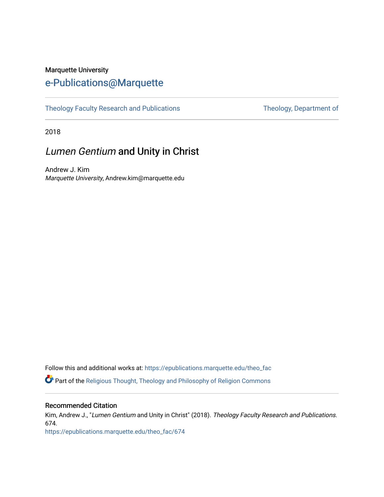# Marquette University [e-Publications@Marquette](https://epublications.marquette.edu/)

[Theology Faculty Research and Publications](https://epublications.marquette.edu/theo_fac) Theology, Department of

2018

# Lumen Gentium and Unity in Christ

Andrew J. Kim Marquette University, Andrew.kim@marquette.edu

Follow this and additional works at: [https://epublications.marquette.edu/theo\\_fac](https://epublications.marquette.edu/theo_fac?utm_source=epublications.marquette.edu%2Ftheo_fac%2F674&utm_medium=PDF&utm_campaign=PDFCoverPages)  **P** Part of the Religious Thought, Theology and Philosophy of Religion Commons

#### Recommended Citation

Kim, Andrew J., "Lumen Gentium and Unity in Christ" (2018). Theology Faculty Research and Publications. 674.

[https://epublications.marquette.edu/theo\\_fac/674](https://epublications.marquette.edu/theo_fac/674?utm_source=epublications.marquette.edu%2Ftheo_fac%2F674&utm_medium=PDF&utm_campaign=PDFCoverPages)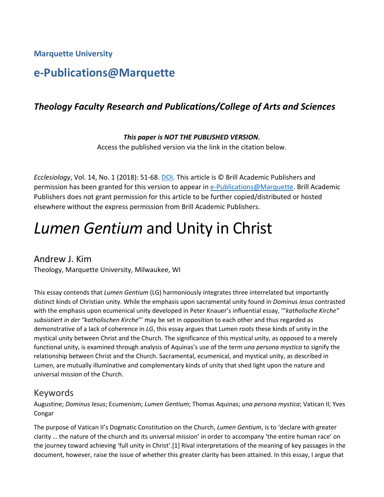**Marquette University**

# **e-Publications@Marquette**

## *Theology Faculty Research and Publications/College of Arts and Sciences*

*This paper is NOT THE PUBLISHED VERSION***.** 

Access the published version via the link in the citation below.

*Ecclesiology*, Vol. 14, No. 1 (2018): 51-68. [DOI.](http://dx.doi.org/10.1163/17455316-01401005) This article is © Brill Academic Publishers and permission has been granted for this version to appear in [e-Publications@Marquette.](http://epublications.marquette.edu/) Brill Academic Publishers does not grant permission for this article to be further copied/distributed or hosted elsewhere without the express permission from Brill Academic Publishers.

# *Lumen Gentium* and Unity in Christ

#### Andrew J. Kim

Theology, Marquette University, Milwaukee, WI

This essay contends that *Lumen Gentium* (LG) harmoniously integrates three interrelated but importantly distinct kinds of Christian unity. While the emphasis upon sacramental unity found in *Dominus Iesus* contrasted with the emphasis upon ecumenical unity developed in Peter Knauer's influential essay, '"*katholische Kirche" subsistiert in der "katholischen Kirche*"' may be set in opposition to each other and thus regarded as demonstrative of a lack of coherence in *LG*, this essay argues that Lumen roots these kinds of unity in the mystical unity between Christ and the Church. The significance of this mystical unity, as opposed to a merely functional unity, is examined through analysis of Aquinas's use of the term *una persona mystica* to signify the relationship between Christ and the Church. Sacramental, ecumenical, and mystical unity, as described in Lumen, are mutually illuminative and complementary kinds of unity that shed light upon the nature and universal mission of the Church.

#### Keywords

Augustine; *Dominus Iesus*; Ecumenism; *Lumen Gentium*; Thomas Aquinas; *una persona mystica*; Vatican II; Yves Congar

The purpose of Vatican II's Dogmatic Constitution on the Church, *Lumen Gentium*, is to 'declare with greater clarity … the nature of the church and its universal mission' in order to accompany 'the entire human race' on the journey toward achieving 'full unity in Christ'.[1] Rival interpretations of the meaning of key passages in the document, however, raise the issue of whether this greater clarity has been attained. In this essay, I argue that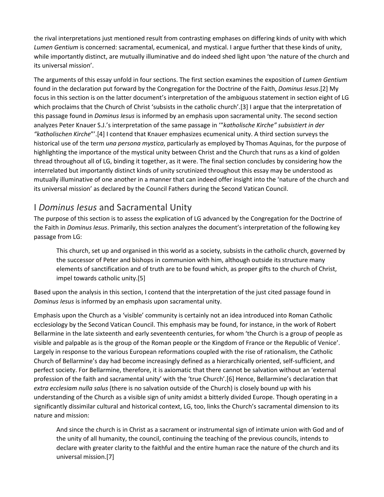the rival interpretations just mentioned result from contrasting emphases on differing kinds of unity with which *Lumen Gentium* is concerned: sacramental, ecumenical, and mystical. I argue further that these kinds of unity, while importantly distinct, are mutually illuminative and do indeed shed light upon 'the nature of the church and its universal mission'.

The arguments of this essay unfold in four sections. The first section examines the exposition of *Lumen Gentium* found in the declaration put forward by the Congregation for the Doctrine of the Faith, *Dominus Iesus*.[2] My focus in this section is on the latter document's interpretation of the ambiguous statement in section eight of LG which proclaims that the Church of Christ 'subsists in the catholic church'.[3] I argue that the interpretation of this passage found in *Dominus Iesus* is informed by an emphasis upon sacramental unity. The second section analyzes Peter Knauer S.J.'s interpretation of the same passage in '"*katholische Kirche" subsistiert in der "katholischen Kirche*"'.[4] I contend that Knauer emphasizes ecumenical unity. A third section surveys the historical use of the term *una persona mystica*, particularly as employed by Thomas Aquinas, for the purpose of highlighting the importance of the mystical unity between Christ and the Church that runs as a kind of golden thread throughout all of LG, binding it together, as it were. The final section concludes by considering how the interrelated but importantly distinct kinds of unity scrutinized throughout this essay may be understood as mutually illuminative of one another in a manner that can indeed offer insight into the 'nature of the church and its universal mission' as declared by the Council Fathers during the Second Vatican Council.

### I *Dominus Iesus* and Sacramental Unity

The purpose of this section is to assess the explication of LG advanced by the Congregation for the Doctrine of the Faith in *Dominus Iesus*. Primarily, this section analyzes the document's interpretation of the following key passage from LG:

This church, set up and organised in this world as a society, subsists in the catholic church, governed by the successor of Peter and bishops in communion with him, although outside its structure many elements of sanctification and of truth are to be found which, as proper gifts to the church of Christ, impel towards catholic unity.[5]

Based upon the analysis in this section, I contend that the interpretation of the just cited passage found in *Dominus Iesus* is informed by an emphasis upon sacramental unity.

Emphasis upon the Church as a 'visible' community is certainly not an idea introduced into Roman Catholic ecclesiology by the Second Vatican Council. This emphasis may be found, for instance, in the work of Robert Bellarmine in the late sixteenth and early seventeenth centuries, for whom 'the Church is a group of people as visible and palpable as is the group of the Roman people or the Kingdom of France or the Republic of Venice'. Largely in response to the various European reformations coupled with the rise of rationalism, the Catholic Church of Bellarmine's day had become increasingly defined as a hierarchically oriented, self-sufficient, and perfect society. For Bellarmine, therefore, it is axiomatic that there cannot be salvation without an 'external profession of the faith and sacramental unity' with the 'true Church'.[6] Hence, Bellarmine's declaration that *extra ecclesiam nulla salus* (there is no salvation outside of the Church) is closely bound up with his understanding of the Church as a visible sign of unity amidst a bitterly divided Europe. Though operating in a significantly dissimilar cultural and historical context, LG, too, links the Church's sacramental dimension to its nature and mission:

And since the church is in Christ as a sacrament or instrumental sign of intimate union with God and of the unity of all humanity, the council, continuing the teaching of the previous councils, intends to declare with greater clarity to the faithful and the entire human race the nature of the church and its universal mission.[7]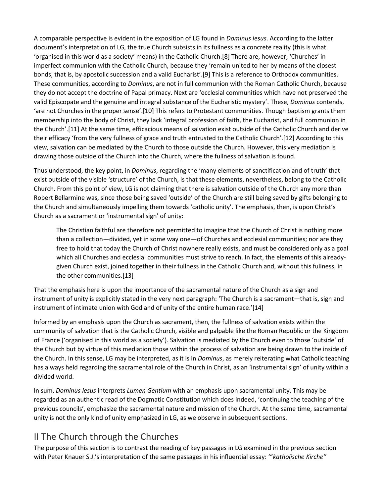A comparable perspective is evident in the exposition of LG found in *Dominus Iesus*. According to the latter document's interpretation of LG, the true Church subsists in its fullness as a concrete reality (this is what 'organised in this world as a society' means) in the Catholic Church.[8] There are, however, 'Churches' in imperfect communion with the Catholic Church, because they 'remain united to her by means of the closest bonds, that is, by apostolic succession and a valid Eucharist'.[9] This is a reference to Orthodox communities. These communities, according to *Dominus*, are not in full communion with the Roman Catholic Church, because they do not accept the doctrine of Papal primacy. Next are 'ecclesial communities which have not preserved the valid Episcopate and the genuine and integral substance of the Eucharistic mystery'. These, *Dominus* contends, 'are not Churches in the proper sense'.[10] This refers to Protestant communities. Though baptism grants them membership into the body of Christ, they lack 'integral profession of faith, the Eucharist, and full communion in the Church'.[11] At the same time, efficacious means of salvation exist outside of the Catholic Church and derive their efficacy 'from the very fullness of grace and truth entrusted to the Catholic Church'.[12] According to this view, salvation can be mediated by the Church to those outside the Church. However, this very mediation is drawing those outside of the Church into the Church, where the fullness of salvation is found.

Thus understood, the key point, in *Dominus*, regarding the 'many elements of sanctification and of truth' that exist outside of the visible 'structure' of the Church, is that these elements, nevertheless, belong to the Catholic Church. From this point of view, LG is not claiming that there is salvation outside of the Church any more than Robert Bellarmine was, since those being saved 'outside' of the Church are still being saved by gifts belonging to the Church and simultaneously impelling them towards 'catholic unity'. The emphasis, then, is upon Christ's Church as a sacrament or 'instrumental sign' of unity:

The Christian faithful are therefore not permitted to imagine that the Church of Christ is nothing more than a collection—divided, yet in some way one—of Churches and ecclesial communities; nor are they free to hold that today the Church of Christ nowhere really exists, and must be considered only as a goal which all Churches and ecclesial communities must strive to reach. In fact, the elements of this alreadygiven Church exist, joined together in their fullness in the Catholic Church and, without this fullness, in the other communities.[13]

That the emphasis here is upon the importance of the sacramental nature of the Church as a sign and instrument of unity is explicitly stated in the very next paragraph: 'The Church is a sacrament—that is, sign and instrument of intimate union with God and of unity of the entire human race.'[14]

Informed by an emphasis upon the Church as sacrament, then, the fullness of salvation exists within the community of salvation that is the Catholic Church, visible and palpable like the Roman Republic or the Kingdom of France ('organised in this world as a society'). Salvation is mediated by the Church even to those 'outside' of the Church but by virtue of this mediation those within the process of salvation are being drawn to the inside of the Church. In this sense, LG may be interpreted, as it is in *Dominus*, as merely reiterating what Catholic teaching has always held regarding the sacramental role of the Church in Christ, as an 'instrumental sign' of unity within a divided world.

In sum, *Dominus Iesus* interprets *Lumen Gentium* with an emphasis upon sacramental unity. This may be regarded as an authentic read of the Dogmatic Constitution which does indeed, 'continuing the teaching of the previous councils', emphasize the sacramental nature and mission of the Church. At the same time, sacramental unity is not the only kind of unity emphasized in LG, as we observe in subsequent sections.

# II The Church through the Churches

The purpose of this section is to contrast the reading of key passages in LG examined in the previous section with Peter Knauer S.J.'s interpretation of the same passages in his influential essay: '"*katholische Kirche"*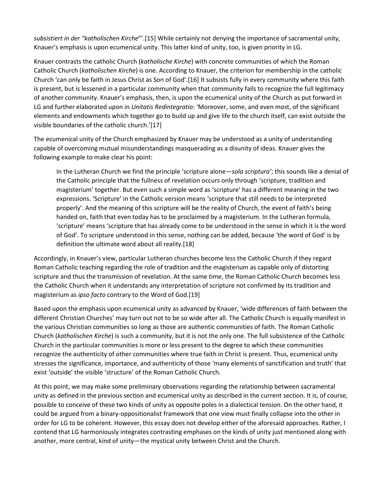*subsistiert in der "katholischen Kirche*"'.[15] While certainly not denying the importance of sacramental unity, Knauer's emphasis is upon ecumenical unity. This latter kind of unity, too, is given priority in LG.

Knauer contrasts the catholic Church (*katholische Kirche*) with concrete communities of which the Roman Catholic Church (*katholischen Kirche*) is one. According to Knauer, the criterion for membership in the catholic Church 'can only be faith in Jesus Christ as Son of God'.[16] It subsists fully in every community where this faith is present, but is lessened in a particular community when that community fails to recognize the full legitimacy of another community. Knauer's emphasis, then, is upon the ecumenical unity of the Church as put forward in LG and further elaborated upon in *Unitatis Redintegratio*: 'Moreover, some, and even most, of the significant elements and endowments which together go to build up and give life to the church itself, can exist outside the visible boundaries of the catholic church.'[17]

The ecumenical unity of the Church emphasized by Knauer may be understood as a unity of understanding capable of overcoming mutual misunderstandings masquerading as a disunity of ideas. Knauer gives the following example to make clear his point:

In the Lutheran Church we find the principle 'scripture alone—*sola scriptura'*; this sounds like a denial of the Catholic principle that the fullness of revelation occurs only through 'scripture, tradition and magisterium' together. But even such a simple word as 'scripture' has a different meaning in the two expressions. 'Scripture' in the Catholic version means 'scripture that still needs to be interpreted properly'. And the meaning of this scripture will be the reality of Church, the event of faith's being handed on, faith that even today has to be proclaimed by a magisterium. In the Lutheran formula, 'scripture' means 'scripture that has already come to be understood in the sense in which it is the word of God'. To scripture understood in this sense, nothing can be added, because 'the word of God' is by definition the ultimate word about all reality.[18]

Accordingly, in Knauer's view, particular Lutheran churches become less the Catholic Church if they regard Roman Catholic teaching regarding the role of tradition and the magisterium as capable only of distorting scripture and thus the transmission of revelation. At the same time, the Roman Catholic Church becomes less the Catholic Church when it understands any interpretation of scripture not confirmed by its tradition and magisterium as *ipso facto* contrary to the Word of God.[19]

Based upon the emphasis upon ecumenical unity as advanced by Knauer, 'wide differences of faith between the different Christian Churches' may turn out not to be so wide after all. The Catholic Church is equally manifest in the various Christian communities so long as those are authentic communities of faith. The Roman Catholic Church (*katholischen Kirche*) is such a community, but it is not the only one. The full subsistence of the Catholic Church in the particular communities is more or less present to the degree to which these communities recognize the authenticity of other communities where true faith in Christ is present. Thus, ecumenical unity stresses the significance, importance, and authenticity of those 'many elements of sanctification and truth' that exist 'outside' the visible 'structure' of the Roman Catholic Church.

At this point, we may make some preliminary observations regarding the relationship between sacramental unity as defined in the previous section and ecumenical unity as described in the current section. It is, of course, possible to conceive of these two kinds of unity as opposite poles in a dialectical tension. On the other hand, it could be argued from a binary-oppositionalist framework that one view must finally collapse into the other in order for LG to be coherent. However, this essay does not develop either of the aforesaid approaches. Rather, I contend that LG harmoniously integrates contrasting emphases on the kinds of unity just mentioned along with another, more central, kind of unity—the mystical unity between Christ and the Church.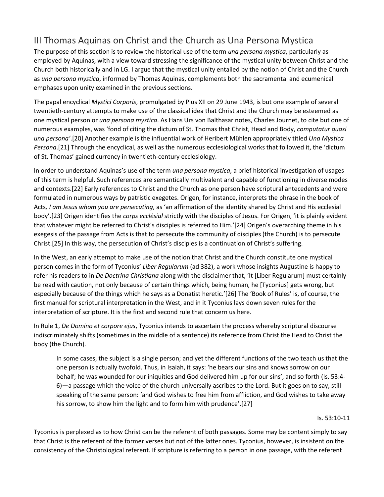# III Thomas Aquinas on Christ and the Church as Una Persona Mystica

The purpose of this section is to review the historical use of the term *una persona mystica*, particularly as employed by Aquinas, with a view toward stressing the significance of the mystical unity between Christ and the Church both historically and in LG. I argue that the mystical unity entailed by the notion of Christ and the Church as *una persona mystica*, informed by Thomas Aquinas, complements both the sacramental and ecumenical emphases upon unity examined in the previous sections.

The papal encyclical *Mystici Corporis*, promulgated by Pius XII on 29 June 1943, is but one example of several twentieth-century attempts to make use of the classical idea that Christ and the Church may be esteemed as one mystical person or *una persona mystica*. As Hans Urs von Balthasar notes, Charles Journet, to cite but one of numerous examples, was 'fond of citing the dictum of St. Thomas that Christ, Head and Body, *computatur quasi una persona'*.[20] Another example is the influential work of Heribert Mühlen appropriately titled *Una Mystica Persona*.[21] Through the encyclical, as well as the numerous ecclesiological works that followed it, the 'dictum of St. Thomas' gained currency in twentieth-century ecclesiology.

In order to understand Aquinas's use of the term *una persona mystica*, a brief historical investigation of usages of this term is helpful. Such references are semantically multivalent and capable of functioning in diverse modes and contexts.[22] Early references to Christ and the Church as one person have scriptural antecedents and were formulated in numerous ways by patristic exegetes. Origen, for instance, interprets the phrase in the book of Acts*, I am Jesus whom you are persecuting*, as 'an affirmation of the identity shared by Christ and His ecclesial body'.[23] Origen identifies the *corps ecclésial* strictly with the disciples of Jesus. For Origen, 'it is plainly evident that whatever might be referred to Christ's disciples is referred to Him.'[24] Origen's overarching theme in his exegesis of the passage from Acts is that to persecute the community of disciples (the Church) is to persecute Christ.[25] In this way, the persecution of Christ's disciples is a continuation of Christ's suffering.

In the West, an early attempt to make use of the notion that Christ and the Church constitute one mystical person comes in the form of Tyconius' *Liber Regularum* (ad 382), a work whose insights Augustine is happy to refer his readers to in *De Doctrina Christiana* along with the disclaimer that, 'It [Liber Regularum] must certainly be read with caution, not only because of certain things which, being human, he [Tyconius] gets wrong, but especially because of the things which he says as a Donatist heretic.'[26] The 'Book of Rules' is, of course, the first manual for scriptural interpretation in the West, and in it Tyconius lays down seven rules for the interpretation of scripture. It is the first and second rule that concern us here.

In Rule 1, *De Domino et corpore ejus*, Tyconius intends to ascertain the process whereby scriptural discourse indiscriminately shifts (sometimes in the middle of a sentence) its reference from Christ the Head to Christ the body (the Church).

In some cases, the subject is a single person; and yet the different functions of the two teach us that the one person is actually twofold. Thus, in Isaiah, it says: 'he bears our sins and knows sorrow on our behalf; he was wounded for our iniquities and God delivered him up for our sins', and so forth (Is. 53:4- 6)—a passage which the voice of the church universally ascribes to the Lord. But it goes on to say, still speaking of the same person: 'and God wishes to free him from affliction, and God wishes to take away his sorrow, to show him the light and to form him with prudence'.[27]

Is. 53:10-11

Tyconius is perplexed as to how Christ can be the referent of both passages. Some may be content simply to say that Christ is the referent of the former verses but not of the latter ones. Tyconius, however, is insistent on the consistency of the Christological referent. If scripture is referring to a person in one passage, with the referent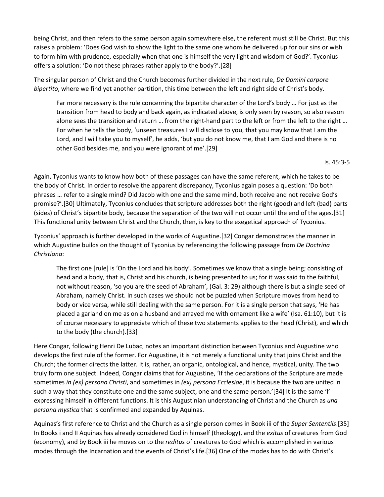being Christ, and then refers to the same person again somewhere else, the referent must still be Christ. But this raises a problem: 'Does God wish to show the light to the same one whom he delivered up for our sins or wish to form him with prudence, especially when that one is himself the very light and wisdom of God?'. Tyconius offers a solution: 'Do not these phrases rather apply to the body?'.[28]

The singular person of Christ and the Church becomes further divided in the next rule, *De Domini corpore bipertito*, where we find yet another partition, this time between the left and right side of Christ's body.

Far more necessary is the rule concerning the bipartite character of the Lord's body … For just as the transition from head to body and back again, as indicated above, is only seen by reason, so also reason alone sees the transition and return … from the right-hand part to the left or from the left to the right … For when he tells the body, 'unseen treasures I will disclose to you, that you may know that I am the Lord, and I will take you to myself', he adds, 'but you do not know me, that I am God and there is no other God besides me, and you were ignorant of me'.[29]

Is. 45:3-5

Again, Tyconius wants to know how both of these passages can have the same referent, which he takes to be the body of Christ. In order to resolve the apparent discrepancy, Tyconius again poses a question: 'Do both phrases … refer to a single mind? Did Jacob with one and the same mind, both receive and not receive God's promise?'.[30] Ultimately, Tyconius concludes that scripture addresses both the right (good) and left (bad) parts (sides) of Christ's bipartite body, because the separation of the two will not occur until the end of the ages.[31] This functional unity between Christ and the Church, then, is key to the exegetical approach of Tyconius.

Tyconius' approach is further developed in the works of Augustine.[32] Congar demonstrates the manner in which Augustine builds on the thought of Tyconius by referencing the following passage from *De Doctrina Christiana*:

The first one [rule] is 'On the Lord and his body'. Sometimes we know that a single being; consisting of head and a body, that is, Christ and his church, is being presented to us; for it was said to the faithful, not without reason, 'so you are the seed of Abraham', (Gal. 3: 29) although there is but a single seed of Abraham, namely Christ. In such cases we should not be puzzled when Scripture moves from head to body or vice versa, while still dealing with the same person. For it is a single person that says, 'He has placed a garland on me as on a husband and arrayed me with ornament like a wife' (Isa. 61:10), but it is of course necessary to appreciate which of these two statements applies to the head (Christ), and which to the body (the church).[33]

Here Congar, following Henri De Lubac, notes an important distinction between Tyconius and Augustine who develops the first rule of the former. For Augustine, it is not merely a functional unity that joins Christ and the Church; the former directs the latter. It is, rather, an organic, ontological, and hence, mystical, unity. The two truly form one subject. Indeed, Congar claims that for Augustine, 'If the declarations of the Scripture are made sometimes *in (ex) persona Christi*, and sometimes in *(ex) persona Ecclesiae*, it is because the two are united in such a way that they constitute one and the same subject, one and the same person.'[34] It is the same 'I' expressing himself in different functions. It is this Augustinian understanding of Christ and the Church as *una persona mystica* that is confirmed and expanded by Aquinas.

Aquinas's first reference to Christ and the Church as a single person comes in Book iii of the *Super Sententiis*.[35] In Books i and II Aquinas has already considered God in himself (theology), and the *exitus* of creatures from God (economy), and by Book iii he moves on to the *reditus* of creatures to God which is accomplished in various modes through the Incarnation and the events of Christ's life.[36] One of the modes has to do with Christ's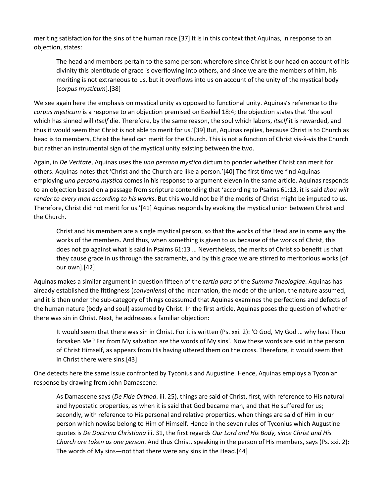meriting satisfaction for the sins of the human race.[37] It is in this context that Aquinas, in response to an objection, states:

The head and members pertain to the same person: wherefore since Christ is our head on account of his divinity this plentitude of grace is overflowing into others, and since we are the members of him, his meriting is not extraneous to us, but it overflows into us on account of the unity of the mystical body [*corpus mysticum*].[38]

We see again here the emphasis on mystical unity as opposed to functional unity. Aquinas's reference to the *corpus mysticum* is a response to an objection premised on Ezekiel 18:4; the objection states that 'the soul which has sinned will *itself* die. Therefore, by the same reason, the soul which labors, *itself* it is rewarded, and thus it would seem that Christ is not able to merit for us.'[39] But, Aquinas replies, because Christ is to Church as head is to members, Christ the head can merit for the Church. This is not a function of Christ vis-à-vis the Church but rather an instrumental sign of the mystical unity existing between the two.

Again, in *De Veritate*, Aquinas uses the *una persona mystica* dictum to ponder whether Christ can merit for others. Aquinas notes that 'Christ and the Church are like a person.'[40] The first time we find Aquinas employing *una persona mystica* comes in his response to argument eleven in the same article. Aquinas responds to an objection based on a passage from scripture contending that 'according to Psalms 61:13, it is said *thou wilt render to every man according to his works*. But this would not be if the merits of Christ might be imputed to us. Therefore, Christ did not merit for us.'[41] Aquinas responds by evoking the mystical union between Christ and the Church.

Christ and his members are a single mystical person, so that the works of the Head are in some way the works of the members. And thus, when something is given to us because of the works of Christ, this does not go against what is said in Psalms 61:13 … Nevertheless, the merits of Christ so benefit us that they cause grace in us through the sacraments, and by this grace we are stirred to meritorious works [of our own].[42]

Aquinas makes a similar argument in question fifteen of the *tertia pars* of the *Summa Theologiae*. Aquinas has already established the fittingness (*conveniens*) of the Incarnation, the mode of the union, the nature assumed, and it is then under the sub-category of things coassumed that Aquinas examines the perfections and defects of the human nature (body and soul) assumed by Christ. In the first article, Aquinas poses the question of whether there was sin in Christ. Next, he addresses a familiar objection:

It would seem that there was sin in Christ. For it is written (Ps. xxi. 2): 'O God, My God … why hast Thou forsaken Me? Far from My salvation are the words of My sins'. Now these words are said in the person of Christ Himself, as appears from His having uttered them on the cross. Therefore, it would seem that in Christ there were sins.[43]

One detects here the same issue confronted by Tyconius and Augustine. Hence, Aquinas employs a Tyconian response by drawing from John Damascene:

As Damascene says (*De Fide Orthod*. iii. 25), things are said of Christ, first, with reference to His natural and hypostatic properties, as when it is said that God became man, and that He suffered for us; secondly, with reference to His personal and relative properties, when things are said of Him in our person which nowise belong to Him of Himself. Hence in the seven rules of Tyconius which Augustine quotes is *De Doctrina Christiana* iii. 31, the first regards *Our Lord and His Body, since Christ and His Church are taken as one person*. And thus Christ, speaking in the person of His members, says (Ps. xxi. 2): The words of My sins—not that there were any sins in the Head.[44]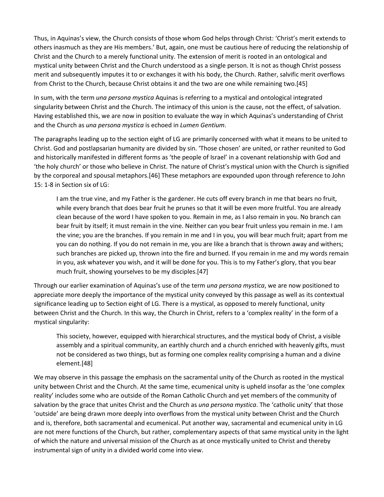Thus, in Aquinas's view, the Church consists of those whom God helps through Christ: 'Christ's merit extends to others inasmuch as they are His members.' But, again, one must be cautious here of reducing the relationship of Christ and the Church to a merely functional unity. The extension of merit is rooted in an ontological and mystical unity between Christ and the Church understood as a single person. It is not as though Christ possess merit and subsequently imputes it to or exchanges it with his body, the Church. Rather, salvific merit overflows from Christ to the Church, because Christ obtains it and the two are one while remaining two.[45]

In sum, with the term *una persona mystica* Aquinas is referring to a mystical and ontological integrated singularity between Christ and the Church. The intimacy of this union is the cause, not the effect, of salvation. Having established this, we are now in position to evaluate the way in which Aquinas's understanding of Christ and the Church as *una persona mystica* is echoed in *Lumen Gentium*.

The paragraphs leading up to the section eight of LG are primarily concerned with what it means to be united to Christ. God and postlapsarian humanity are divided by sin. 'Those chosen' are united, or rather reunited to God and historically manifested in different forms as 'the people of Israel' in a covenant relationship with God and 'the holy church' or those who believe in Christ. The nature of Christ's mystical union with the Church is signified by the corporeal and spousal metaphors.[46] These metaphors are expounded upon through reference to John 15: 1-8 in Section six of LG:

I am the true vine, and my Father is the gardener. He cuts off every branch in me that bears no fruit, while every branch that does bear fruit he prunes so that it will be even more fruitful. You are already clean because of the word I have spoken to you. Remain in me, as I also remain in you. No branch can bear fruit by itself; it must remain in the vine. Neither can you bear fruit unless you remain in me. I am the vine; you are the branches. If you remain in me and I in you, you will bear much fruit; apart from me you can do nothing. If you do not remain in me, you are like a branch that is thrown away and withers; such branches are picked up, thrown into the fire and burned. If you remain in me and my words remain in you, ask whatever you wish, and it will be done for you. This is to my Father's glory, that you bear much fruit, showing yourselves to be my disciples.[47]

Through our earlier examination of Aquinas's use of the term *una persona mystica*, we are now positioned to appreciate more deeply the importance of the mystical unity conveyed by this passage as well as its contextual significance leading up to Section eight of LG. There is a mystical, as opposed to merely functional, unity between Christ and the Church. In this way, the Church in Christ, refers to a 'complex reality' in the form of a mystical singularity:

This society, however, equipped with hierarchical structures, and the mystical body of Christ, a visible assembly and a spiritual community, an earthly church and a church enriched with heavenly gifts, must not be considered as two things, but as forming one complex reality comprising a human and a divine element.[48]

We may observe in this passage the emphasis on the sacramental unity of the Church as rooted in the mystical unity between Christ and the Church. At the same time, ecumenical unity is upheld insofar as the 'one complex reality' includes some who are outside of the Roman Catholic Church and yet members of the community of salvation by the grace that unites Christ and the Church as *una persona mystica*. The 'catholic unity' that those 'outside' are being drawn more deeply into overflows from the mystical unity between Christ and the Church and is, therefore, both sacramental and ecumenical. Put another way, sacramental and ecumenical unity in LG are not mere functions of the Church, but rather, complementary aspects of that same mystical unity in the light of which the nature and universal mission of the Church as at once mystically united to Christ and thereby instrumental sign of unity in a divided world come into view.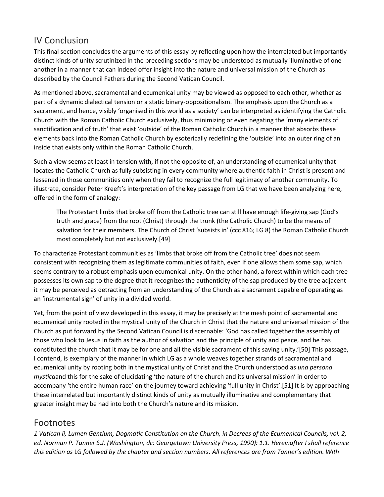# IV Conclusion

This final section concludes the arguments of this essay by reflecting upon how the interrelated but importantly distinct kinds of unity scrutinized in the preceding sections may be understood as mutually illuminative of one another in a manner that can indeed offer insight into the nature and universal mission of the Church as described by the Council Fathers during the Second Vatican Council.

As mentioned above, sacramental and ecumenical unity may be viewed as opposed to each other, whether as part of a dynamic dialectical tension or a static binary-oppositionalism. The emphasis upon the Church as a sacrament, and hence, visibly 'organised in this world as a society' can be interpreted as identifying the Catholic Church with the Roman Catholic Church exclusively, thus minimizing or even negating the 'many elements of sanctification and of truth' that exist 'outside' of the Roman Catholic Church in a manner that absorbs these elements back into the Roman Catholic Church by esoterically redefining the 'outside' into an outer ring of an inside that exists only within the Roman Catholic Church.

Such a view seems at least in tension with, if not the opposite of, an understanding of ecumenical unity that locates the Catholic Church as fully subsisting in every community where authentic faith in Christ is present and lessened in those communities only when they fail to recognize the full legitimacy of another community. To illustrate, consider Peter Kreeft's interpretation of the key passage from LG that we have been analyzing here, offered in the form of analogy:

The Protestant limbs that broke off from the Catholic tree can still have enough life-giving sap (God's truth and grace) from the root (Christ) through the trunk (the Catholic Church) to be the means of salvation for their members. The Church of Christ 'subsists in' (ccc 816; LG 8) the Roman Catholic Church most completely but not exclusively.[49]

To characterize Protestant communities as 'limbs that broke off from the Catholic tree' does not seem consistent with recognizing them as legitimate communities of faith, even if one allows them some sap, which seems contrary to a robust emphasis upon ecumenical unity. On the other hand, a forest within which each tree possesses its own sap to the degree that it recognizes the authenticity of the sap produced by the tree adjacent it may be perceived as detracting from an understanding of the Church as a sacrament capable of operating as an 'instrumental sign' of unity in a divided world.

Yet, from the point of view developed in this essay, it may be precisely at the mesh point of sacramental and ecumenical unity rooted in the mystical unity of the Church in Christ that the nature and universal mission of the Church as put forward by the Second Vatican Council is discernable: 'God has called together the assembly of those who look to Jesus in faith as the author of salvation and the principle of unity and peace, and he has constituted the church that it may be for one and all the visible sacrament of this saving unity.'[50] This passage, I contend, is exemplary of the manner in which LG as a whole weaves together strands of sacramental and ecumenical unity by rooting both in the mystical unity of Christ and the Church understood as *una persona mystica*and this for the sake of elucidating 'the nature of the church and its universal mission' in order to accompany 'the entire human race' on the journey toward achieving 'full unity in Christ'.[51] It is by approaching these interrelated but importantly distinct kinds of unity as mutually illuminative and complementary that greater insight may be had into both the Church's nature and its mission.

#### Footnotes

*1 Vatican ii, Lumen Gentium, Dogmatic Constitution on the Church, in Decrees of the Ecumenical Councils, vol. 2, ed. Norman P. Tanner S.J. (Washington, dc: Georgetown University Press, 1990): 1.1. Hereinafter I shall reference this edition as* LG *followed by the chapter and section numbers. All references are from Tanner's edition. With*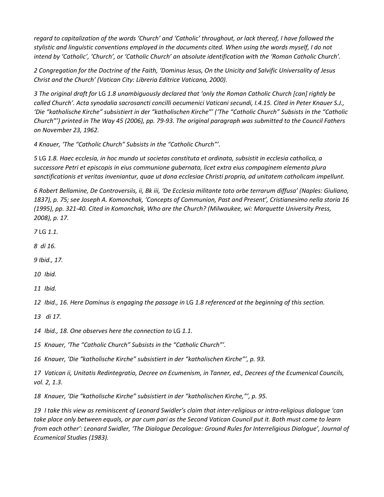*regard to capitalization of the words 'Church' and 'Catholic' throughout, or lack thereof, I have followed the stylistic and linguistic conventions employed in the documents cited. When using the words myself, I do not intend by 'Catholic', 'Church', or 'Catholic Church' an absolute identification with the 'Roman Catholic Church'.* 

*2 Congregation for the Doctrine of the Faith, 'Dominus Iesus, On the Unicity and Salvific Universality of Jesus Christ and the Church' (Vatican City: Libreria Editrice Vaticana, 2000).* 

*3 The original draft for* LG *1.8 unambiguously declared that 'only the Roman Catholic Church [can] rightly be called Church'. Acta synodalia sacrosancti concilli oecumenici Vaticani secundi, I.4.15. Cited in Peter Knauer S.J., 'Die "katholische Kirche" subsistiert in der "katholischen Kirche"' ('The "Catholic Church" Subsists in the "Catholic Church"') printed in The Way 45 (2006), pp. 79-93. The original paragraph was submitted to the Council Fathers on November 23, 1962.* 

*4 Knauer, 'The "Catholic Church" Subsists in the "Catholic Church"'.* 

*5* LG *1.8. Haec ecclesia, in hoc mundo ut societas constituta et ordinata, subsistit in ecclesia catholica, a successore Petri et episcopis in eius communione gubernata, licet extra eius compaginem elementa plura sanctificationis et veritas inveniantur, quae ut dona ecclesiae Christi propria, ad unitatem catholicam impellunt.* 

*6 Robert Bellamine, De Controversiis, ii, Bk iii, 'De Ecclesia militante toto orbe terrarum diffusa' (Naples: Giuliano, 1837), p. 75; see Joseph A. Komonchak, 'Concepts of Communion, Past and Present', Cristianesimo nella storia 16 (1995), pp. 321-40. Cited in Komonchak, Who are the Church? (Milwaukee, wi: Marquette University Press, 2008), p. 17.* 

*7* LG *1.1.* 

*8 di 16.* 

*9 Ibid., 17.* 

*10 Ibid.* 

*11 Ibid.* 

*12 Ibid., 16. Here Dominus is engaging the passage in* LG *1.8 referenced at the beginning of this section.* 

*13 di 17.* 

*14 Ibid., 18. One observes here the connection to* LG *1.1.* 

*15 Knauer, 'The "Catholic Church" Subsists in the "Catholic Church"'.* 

*16 Knauer, 'Die "katholische Kirche" subsistiert in der "katholischen Kirche"', p. 93.* 

*17 Vatican ii, Unitatis Redintegratio, Decree on Ecumenism, in Tanner, ed., Decrees of the Ecumenical Councils, vol. 2, 1.3.* 

*18 Knauer, 'Die "katholische Kirche" subsistiert in der "katholischen Kirche,"', p. 95.* 

*19 I take this view as reminiscent of Leonard Swidler's claim that inter-religious or intra-religious dialogue 'can take place only between equals, or par cum pari as the Second Vatican Council put it. Both must come to learn from each other': Leonard Swidler, 'The Dialogue Decalogue: Ground Rules for Interreligious Dialogue', Journal of Ecumenical Studies (1983).*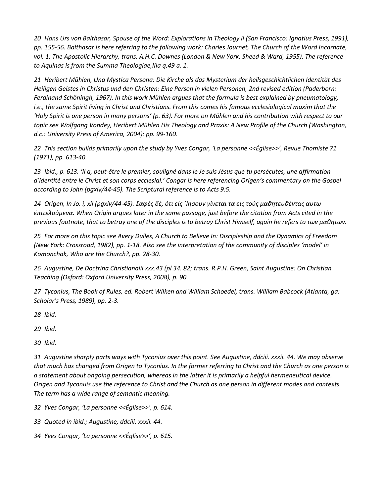*20 Hans Urs von Balthasar, Spouse of the Word: Explorations in Theology ii (San Francisco: Ignatius Press, 1991), pp. 155-56. Balthasar is here referring to the following work: Charles Journet, The Church of the Word Incarnate, vol. 1: The Apostolic Hierarchy, trans. A.H.C. Downes (London & New York: Sheed & Ward, 1955). The reference to Aquinas is from the Summa Theologiae,IIIa q.49 a. 1.* 

*21 Heribert Mühlen, Una Mystica Persona: Die Kirche als das Mysterium der heilsgeschichtlichen Identität des Heiligen Geistes in Christus und den Christen: Eine Person in vielen Personen, 2nd revised edition (Paderborn: Ferdinand Schöningh, 1967). In this work Mühlen argues that the formula is best explained by pneumatology, i.e., the same Spirit living in Christ and Christians. From this comes his famous ecclesiological maxim that the 'Holy Spirit is one person in many persons' (p. 63). For more on Mühlen and his contribution with respect to our topic see Wolfgang Vondey, Heribert Mühlen His Theology and Praxis: A New Profile of the Church (Washington, d.c.: University Press of America, 2004): pp. 99-160.* 

*22 This section builds primarily upon the study by Yves Congar, 'La personne <<Église>>', Revue Thomiste 71 (1971), pp. 613-40.* 

*23 Ibid., p. 613. 'Il a, peut-être le premier, souligné dans le Je suis Jésus que tu persécutes, une affirmation d'identité entre le Christ et son corps ecclesial.' Congar is here referencing Origen's commentary on the Gospel according to John (pgxiv/44-45). The Scriptural reference is to Acts 9:5.* 

*24 Origen, In Jo. i, xii (pgxiv/44-45). Σαφές δέ, ότι είς `Iησουν γίνεται τα είς τούς μαθητευθέντας αυτω έπιτελούμενα. When Origin argues later in the same passage, just before the citation from Acts cited in the previous footnote, that to betray one of the disciples is to betray Christ Himself, again he refers to των μαθητων.* 

*25 For more on this topic see Avery Dulles, A Church to Believe In: Discipleship and the Dynamics of Freedom (New York: Crossroad, 1982), pp. 1-18. Also see the interpretation of the community of disciples 'model' in Komonchak, Who are the Church?, pp. 28-30.*

*26 Augustine, De Doctrina Christianaiii.xxx.43 (pl 34. 82; trans. R.P.H. Green, Saint Augustine: On Christian Teaching (Oxford: Oxford University Press, 2008), p. 90.* 

*27 Tyconius, The Book of Rules, ed. Robert Wilken and William Schoedel, trans. William Babcock (Atlanta, ga: Scholar's Press, 1989), pp. 2-3.* 

*28 Ibid.* 

*29 Ibid.* 

*30 Ibid.* 

*31 Augustine sharply parts ways with Tyconius over this point. See Augustine, ddciii. xxxii. 44. We may observe that much has changed from Origen to Tyconius. In the former referring to Christ and the Church as one person is a statement about ongoing persecution, whereas in the latter it is primarily a helpful hermeneutical device. Origen and Tyconuis use the reference to Christ and the Church as one person in different modes and contexts. The term has a wide range of semantic meaning.* 

*32 Yves Congar, 'La personne <<Église>>', p. 614.* 

*33 Quoted in ibid.; Augustine, ddciii. xxxii. 44.* 

*34 Yves Congar, 'La personne <<Église>>', p. 615.*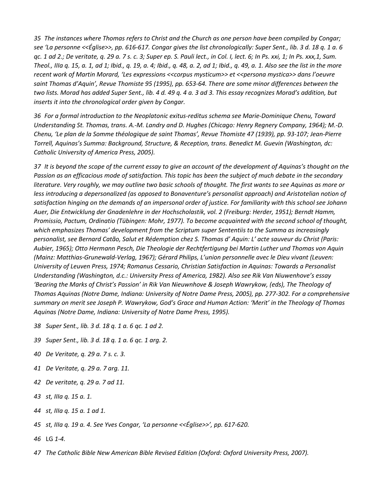*35 The instances where Thomas refers to Christ and the Church as one person have been compiled by Congar; see 'La personne <<Église>>, pp. 616-617. Congar gives the list chronologically: Super Sent., lib. 3 d. 18 q. 1 a. 6 qc. 1 ad 2.; De veritate, q. 29 a. 7 s. c. 3; Super ep. S. Pauli lect., in Col. I, lect. 6; In Ps. xxi, 1; In Ps. xxx,1, Sum. Theol., IIIa q. 15, a. 1, ad 1; Ibid., q. 19, a. 4; Ibid., q. 48, a. 2, ad 1; Ibid., q. 49, a. 1. Also see the list in the more recent work of Martin Morard, 'Les expressions <<corpus mysticum>> et <<persona mystica>> dans l'oeuvre saint Thomas d'Aquin', Revue Thomiste 95 (1995), pp. 653-64. There are some minor differences between the two lists. Morad has added Super Sent., lib. 4 d. 49 q. 4 a. 3 ad 3. This essay recognizes Morad's addition, but inserts it into the chronological order given by Congar.* 

*36 For a formal introduction to the Neoplatonic exitus-reditus schema see Marie-Dominique Chenu, Toward Understanding St. Thomas, trans. A.-M. Landry and D. Hughes (Chicago: Henry Regnery Company, 1964); M.-D. Chenu, 'Le plan de la Somme théologique de saint Thomas', Revue Thomiste 47 (1939), pp. 93-107; Jean-Pierre Torrell, Aquinas's Summa: Background, Structure, & Reception, trans. Benedict M. Guevin (Washington, dc: Catholic University of America Press, 2005).* 

*37 It is beyond the scope of the current essay to give an account of the development of Aquinas's thought on the Passion as an efficacious mode of satisfaction. This topic has been the subject of much debate in the secondary literature. Very roughly, we may outline two basic schools of thought. The first wants to see Aquinas as more or less introducing a depersonalized (as opposed to Bonaventure's personalist approach) and Aristotelian notion of satisfaction hinging on the demands of an impersonal order of justice. For familiarity with this school see Johann Auer, Die Entwicklung der Gnadenlehre in der Hochscholastik, vol. 2 (Freiburg: Herder, 1951); Berndt Hamm, Promissio, Pactum, Ordinatio (Tübingen: Mohr, 1977). To become acquainted with the second school of thought, which emphasizes Thomas' development from the Scriptum super Sententiis to the Summa as increasingly personalist, see Bernard Catão, Salut et Rédemption chez S. Thomas d' Aquin: L' acte sauveur du Christ (Paris: Aubier, 1965); Otto Hermann Pesch, Die Theologie der Rechtfertigung bei Martin Luther und Thomas von Aquin (Mainz: Matthias-Grunewald-Verlag, 1967); Gérard Philips, L'union personnelle avec le Dieu vivant (Leuven: University of Leuven Press, 1974; Romanus Cessario, Christian Satisfaction in Aquinas: Towards a Personalist Understanding (Washington, d.c.: University Press of America, 1982). Also see Rik Van Niuwenhove's essay 'Bearing the Marks of Christ's Passion' in Rik Van Nieuwnhove & Joseph Wawrykow, (eds), The Theology of Thomas Aquinas (Notre Dame, Indiana: University of Notre Dame Press, 2005), pp. 277-302. For a comprehensive summary on merit see Joseph P. Wawrykow, God's Grace and Human Action: 'Merit' in the Theology of Thomas Aquinas (Notre Dame, Indiana: University of Notre Dame Press, 1995).* 

- *38 Super Sent., lib. 3 d. 18 q. 1 a. 6 qc. 1 ad 2.*
- *39 Super Sent., lib. 3 d. 18 q. 1 a. 6 qc. 1 arg. 2.*
- *40 De Veritate, q. 29 a. 7 s. c. 3.*
- *41 De Veritate, q. 29 a. 7 arg. 11.*
- *42 De veritate, q. 29 a. 7 ad 11.*
- *43 st, IIIa q. 15 a. 1.*
- *44 st, IIIa q. 15 a. 1 ad 1.*
- *45 st, IIIa q. 19 a. 4. See Yves Congar, 'La personne <<Église>>', pp. 617-620.*
- *46* LG *1-4.*
- *47 The Catholic Bible New American Bible Revised Edition (Oxford: Oxford University Press, 2007).*